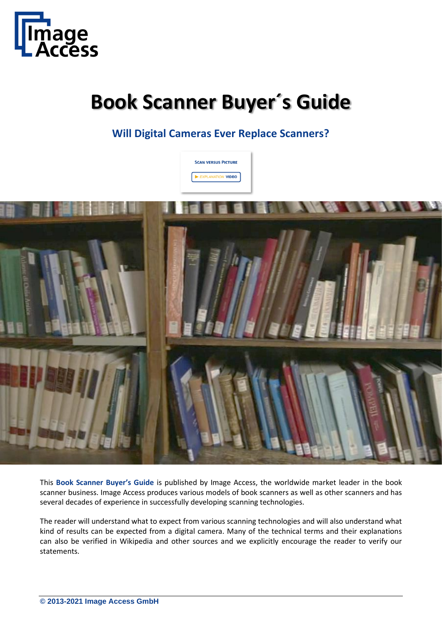

# **Book Scanner Buyer´s Guide**

**Will Digital Cameras Ever Replace Scanners?**



This **Book Scanner Buyer's Guide** is published by Image Access, the worldwide market leader in the book scanner business. Image Access produces various models of book scanners as well as other scanners and has several decades of experience in successfully developing scanning technologies.

The reader will understand what to expect from various scanning technologies and will also understand what kind of results can be expected from a digital camera. Many of the technical terms and their explanations can also be verified in Wikipedia and other sources and we explicitly encourage the reader to verify our statements.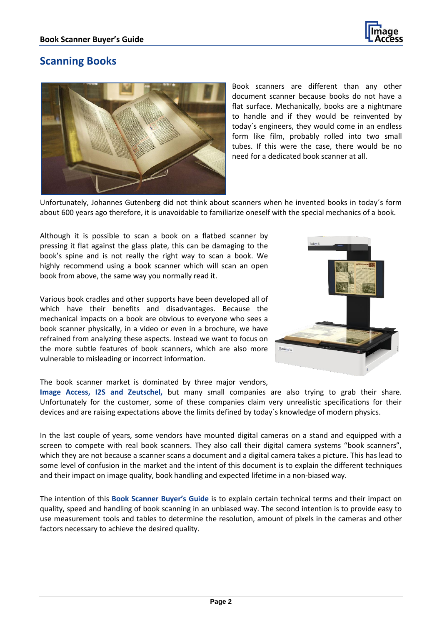

#### **Scanning Books**



Book scanners are different than any other document scanner because books do not have a flat surface. Mechanically, books are a nightmare to handle and if they would be reinvented by today´s engineers, they would come in an endless form like film, probably rolled into two small tubes. If this were the case, there would be no need for a dedicated book scanner at all.

Unfortunately, Johannes Gutenberg did not think about scanners when he invented books in today´s form about 600 years ago therefore, it is unavoidable to familiarize oneself with the special mechanics of a book.

Although it is possible to scan a book on a flatbed scanner by pressing it flat against the glass plate, this can be damaging to the book's spine and is not really the right way to scan a book. We highly recommend using a book scanner which will scan an open book from above, the same way you normally read it.

Various book cradles and other supports have been developed all of which have their benefits and disadvantages. Because the mechanical impacts on a book are obvious to everyone who sees a book scanner physically, in a video or even in a brochure, we have refrained from analyzing these aspects. Instead we want to focus on the more subtle features of book scanners, which are also more vulnerable to misleading or incorrect information.

The book scanner market is dominated by three major vendors,

**Image Access, I2S and Zeutschel,** but many small companies are also trying to grab their share. Unfortunately for the customer, some of these companies claim very unrealistic specifications for their devices and are raising expectations above the limits defined by today´s knowledge of modern physics.

In the last couple of years, some vendors have mounted digital cameras on a stand and equipped with a screen to compete with real book scanners. They also call their digital camera systems "book scanners", which they are not because a scanner scans a document and a digital camera takes a picture. This has lead to some level of confusion in the market and the intent of this document is to explain the different techniques and their impact on image quality, book handling and expected lifetime in a non-biased way.

The intention of this **Book Scanner Buyer's Guide** is to explain certain technical terms and their impact on quality, speed and handling of book scanning in an unbiased way. The second intention is to provide easy to use measurement tools and tables to determine the resolution, amount of pixels in the cameras and other factors necessary to achieve the desired quality.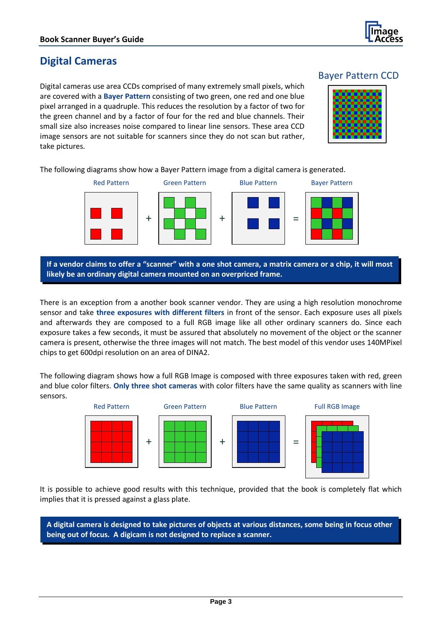

### **Digital Cameras**

Digital cameras use area CCDs comprised of many extremely small pixels, which are covered with a **Bayer Pattern** consisting of two green, one red and one blue pixel arranged in a quadruple. This reduces the resolution by a factor of two for the green channel and by a factor of four for the red and blue channels. Their small size also increases noise compared to linear line sensors. These area CCD image sensors are not suitable for scanners since they do not scan but rather, take pictures.





The following diagrams show how a Bayer Pattern image from a digital camera is generated.



**If a vendor claims to offer a "scanner" with a one shot camera, a matrix camera or a chip, it will most likely be an ordinary digital camera mounted on an overpriced frame.**

There is an exception from a another book scanner vendor. They are using a high resolution monochrome sensor and take **three exposures with different filters** in front of the sensor. Each exposure uses all pixels and afterwards they are composed to a full RGB image like all other ordinary scanners do. Since each exposure takes a few seconds, it must be assured that absolutely no movement of the object or the scanner camera is present, otherwise the three images will not match. The best model of this vendor uses 140MPixel chips to get 600dpi resolution on an area of DINA2.

The following diagram shows how a full RGB Image is composed with three exposures taken with red, green and blue color filters. **Only three shot cameras** with color filters have the same quality as scanners with line sensors.



It is possible to achieve good results with this technique, provided that the book is completely flat which implies that it is pressed against a glass plate.

**A digital camera is designed to take pictures of objects at various distances, some being in focus other being out of focus. A digicam is not designed to replace a scanner.**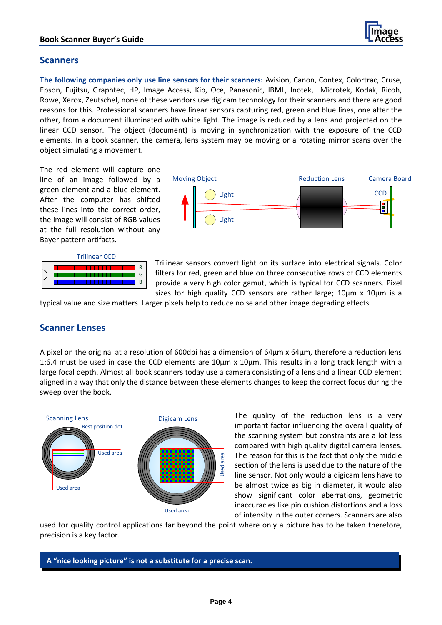#### **Scanners**

**The following companies only use line sensors for their scanners:** Avision, Canon, Contex, Colortrac, Cruse, Epson, Fujitsu, Graphtec, HP, Image Access, Kip, Oce, Panasonic, IBML, Inotek, Microtek, Kodak, Ricoh, Rowe, Xerox, Zeutschel, none of these vendors use digicam technology for their scanners and there are good reasons for this. Professional scanners have linear sensors capturing red, green and blue lines, one after the other, from a document illuminated with white light. The image is reduced by a lens and projected on the linear CCD sensor. The object (document) is moving in synchronization with the exposure of the CCD elements. In a book scanner, the camera, lens system may be moving or a rotating mirror scans over the object simulating a movement.

The red element will capture one line of an image followed by a green element and a blue element. After the computer has shifted these lines into the correct order, the image will consist of RGB values at the full resolution without any Bayer pattern artifacts.



**CCD** Moving Object **Reduction Lens** Camera Board Light Light

Trilinear sensors convert light on its surface into electrical signals. Color filters for red, green and blue on three consecutive rows of CCD elements provide a very high color gamut, which is typical for CCD scanners. Pixel sizes for high quality CCD sensors are rather large;  $10 \mu m \times 10 \mu m$  is a

typical value and size matters. Larger pixels help to reduce noise and other image degrading effects.

#### **Scanner Lenses**

A pixel on the original at a resolution of 600dpi has a dimension of 64µm x 64µm, therefore a reduction lens 1:6.4 must be used in case the CCD elements are 10µm x 10µm. This results in a long track length with a large focal depth. Almost all book scanners today use a camera consisting of a lens and a linear CCD element aligned in a way that only the distance between these elements changes to keep the correct focus during the sweep over the book.



The quality of the reduction lens is a very important factor influencing the overall quality of the scanning system but constraints are a lot less compared with high quality digital camera lenses. The reason for this is the fact that only the middle section of the lens is used due to the nature of the line sensor. Not only would a digicam lens have to be almost twice as big in diameter, it would also show significant color aberrations, geometric inaccuracies like pin cushion distortions and a loss of intensity in the outer corners. Scanners are also

used for quality control applications far beyond the point where only a picture has to be taken therefore, precision is a key factor.

#### **A "nice looking picture" is not a substitute for a precise scan.**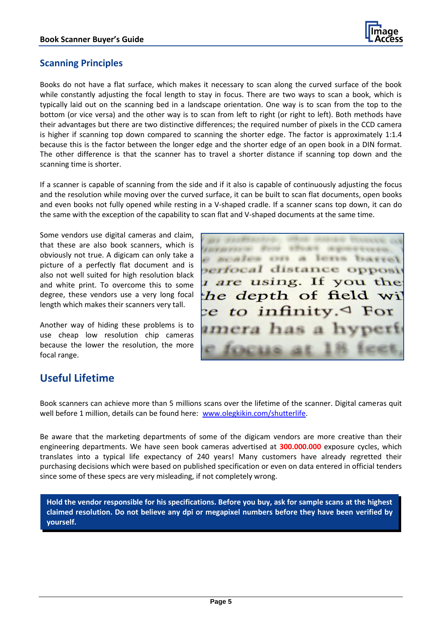

#### **Scanning Principles**

Books do not have a flat surface, which makes it necessary to scan along the curved surface of the book while constantly adjusting the focal length to stay in focus. There are two ways to scan a book, which is typically laid out on the scanning bed in a landscape orientation. One way is to scan from the top to the bottom (or vice versa) and the other way is to scan from left to right (or right to left). Both methods have their advantages but there are two distinctive differences; the required number of pixels in the CCD camera is higher if scanning top down compared to scanning the shorter edge. The factor is approximately 1:1.4 because this is the factor between the longer edge and the shorter edge of an open book in a DIN format. The other difference is that the scanner has to travel a shorter distance if scanning top down and the scanning time is shorter.

If a scanner is capable of scanning from the side and if it also is capable of continuously adjusting the focus and the resolution while moving over the curved surface, it can be built to scan flat documents, open books and even books not fully opened while resting in a V-shaped cradle. If a scanner scans top down, it can do the same with the exception of the capability to scan flat and V-shaped documents at the same time.

Some vendors use digital cameras and claim, that these are also book scanners, which is obviously not true. A digicam can only take a picture of a perfectly flat document and is also not well suited for high resolution black and white print. To overcome this to some degree, these vendors use a very long focal length which makes their scanners very tall.

Another way of hiding these problems is to use cheap low resolution chip cameras because the lower the resolution, the more focal range.



# **Useful Lifetime**

Book scanners can achieve more than 5 millions scans over the lifetime of the scanner. Digital cameras quit well before 1 million, details can be found here: [www.olegkikin.com/shutterlife.](http://www.olegkikin.com/shutterlife)

Be aware that the marketing departments of some of the digicam vendors are more creative than their engineering departments. We have seen book cameras advertised at **300.000.000** exposure cycles, which translates into a typical life expectancy of 240 years! Many customers have already regretted their purchasing decisions which were based on published specification or even on data entered in official tenders since some of these specs are very misleading, if not completely wrong.

**Hold the vendor responsible for his specifications. Before you buy, ask for sample scans at the highest claimed resolution. Do not believe any dpi or megapixel numbers before they have been verified by yourself.**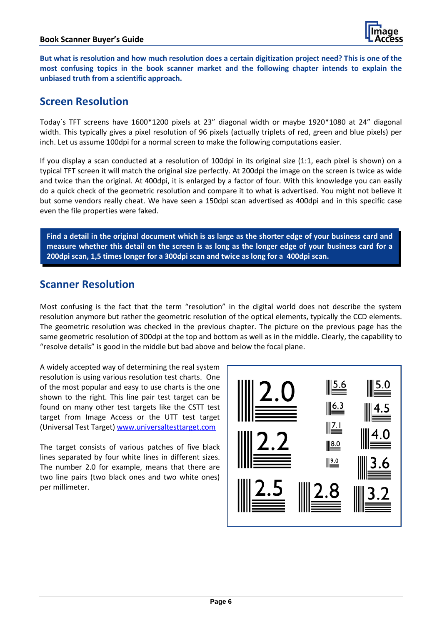

**But what is resolution and how much resolution does a certain digitization project need? This is one of the most confusing topics in the book scanner market and the following chapter intends to explain the unbiased truth from a scientific approach.**

## **Screen Resolution**

Today´s TFT screens have 1600\*1200 pixels at 23" diagonal width or maybe 1920\*1080 at 24" diagonal width. This typically gives a pixel resolution of 96 pixels (actually triplets of red, green and blue pixels) per inch. Let us assume 100dpi for a normal screen to make the following computations easier.

If you display a scan conducted at a resolution of 100dpi in its original size (1:1, each pixel is shown) on a typical TFT screen it will match the original size perfectly. At 200dpi the image on the screen is twice as wide and twice than the original. At 400dpi, it is enlarged by a factor of four. With this knowledge you can easily do a quick check of the geometric resolution and compare it to what is advertised. You might not believe it but some vendors really cheat. We have seen a 150dpi scan advertised as 400dpi and in this specific case even the file properties were faked.

**Find a detail in the original document which is as large as the shorter edge of your business card and measure whether this detail on the screen is as long as the longer edge of your business card for a 200dpi scan, 1,5 times longer for a 300dpi scan and twice as long for a 400dpi scan.**

#### **Scanner Resolution**

Most confusing is the fact that the term "resolution" in the digital world does not describe the system resolution anymore but rather the geometric resolution of the optical elements, typically the CCD elements. The geometric resolution was checked in the previous chapter. The picture on the previous page has the same geometric resolution of 300dpi at the top and bottom as well as in the middle. Clearly, the capability to "resolve details" is good in the middle but bad above and below the focal plane.

A widely accepted way of determining the real system resolution is using various resolution test charts. One of the most popular and easy to use charts is the one shown to the right. This line pair test target can be found on many other test targets like the CSTT test target from Image Access or the UTT test target (Universal Test Target) [www.universaltesttarget.com](http://www.universaltesttarget.com/)

The target consists of various patches of five black lines separated by four white lines in different sizes. The number 2.0 for example, means that there are two line pairs (two black ones and two white ones) per millimeter.

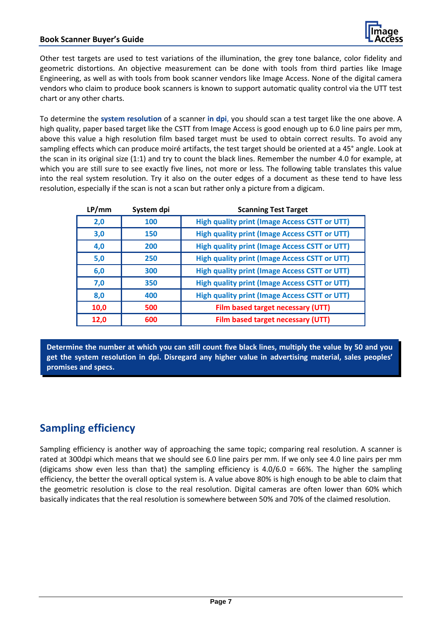#### **Book Scanner Buyer's Guide**



Other test targets are used to test variations of the illumination, the grey tone balance, color fidelity and geometric distortions. An objective measurement can be done with tools from third parties like Image Engineering, as well as with tools from book scanner vendors like Image Access. None of the digital camera vendors who claim to produce book scanners is known to support automatic quality control via the UTT test chart or any other charts.

To determine the **system resolution** of a scanner **in dpi**, you should scan a test target like the one above. A high quality, paper based target like the CSTT from Image Access is good enough up to 6.0 line pairs per mm, above this value a high resolution film based target must be used to obtain correct results. To avoid any sampling effects which can produce moiré artifacts, the test target should be oriented at a 45° angle. Look at the scan in its original size (1:1) and try to count the black lines. Remember the number 4.0 for example, at which you are still sure to see exactly five lines, not more or less. The following table translates this value into the real system resolution. Try it also on the outer edges of a document as these tend to have less resolution, especially if the scan is not a scan but rather only a picture from a digicam.

| LP/mm | System dpi | <b>Scanning Test Target</b>                          |
|-------|------------|------------------------------------------------------|
| 2,0   | 100        | <b>High quality print (Image Access CSTT or UTT)</b> |
| 3,0   | 150        | <b>High quality print (Image Access CSTT or UTT)</b> |
| 4,0   | 200        | <b>High quality print (Image Access CSTT or UTT)</b> |
| 5,0   | 250        | <b>High quality print (Image Access CSTT or UTT)</b> |
| 6,0   | 300        | <b>High quality print (Image Access CSTT or UTT)</b> |
| 7,0   | 350        | <b>High quality print (Image Access CSTT or UTT)</b> |
| 8,0   | 400        | <b>High quality print (Image Access CSTT or UTT)</b> |
| 10,0  | 500        | Film based target necessary (UTT)                    |
| 12,0  | 600        | Film based target necessary (UTT)                    |

**Determine the number at which you can still count five black lines, multiply the value by 50 and you get the system resolution in dpi. Disregard any higher value in advertising material, sales peoples' promises and specs.**

# **Sampling efficiency**

Sampling efficiency is another way of approaching the same topic; comparing real resolution. A scanner is rated at 300dpi which means that we should see 6.0 line pairs per mm. If we only see 4.0 line pairs per mm (digicams show even less than that) the sampling efficiency is  $4.0/6.0 = 66\%$ . The higher the sampling efficiency, the better the overall optical system is. A value above 80% is high enough to be able to claim that the geometric resolution is close to the real resolution. Digital cameras are often lower than 60% which basically indicates that the real resolution is somewhere between 50% and 70% of the claimed resolution.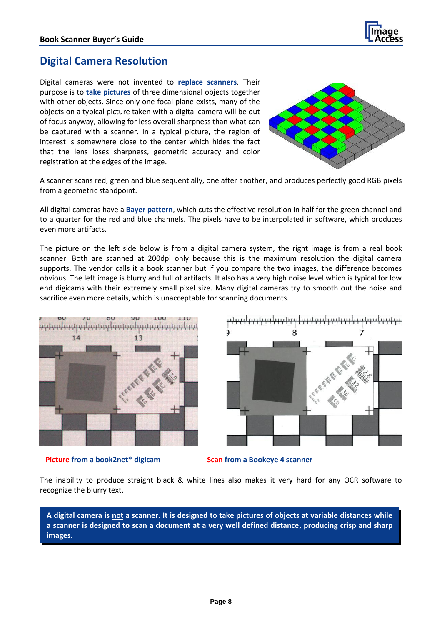

#### **Digital Camera Resolution**

Digital cameras were not invented to **replace scanners**. Their purpose is to **take pictures** of three dimensional objects together with other objects. Since only one focal plane exists, many of the objects on a typical picture taken with a digital camera will be out of focus anyway, allowing for less overall sharpness than what can be captured with a scanner. In a typical picture, the region of interest is somewhere close to the center which hides the fact that the lens loses sharpness, geometric accuracy and color registration at the edges of the image.



A scanner scans red, green and blue sequentially, one after another, and produces perfectly good RGB pixels from a geometric standpoint.

All digital cameras have a **Bayer pattern**, which cuts the effective resolution in half for the green channel and to a quarter for the red and blue channels. The pixels have to be interpolated in software, which produces even more artifacts.

The picture on the left side below is from a digital camera system, the right image is from a real book scanner. Both are scanned at 200dpi only because this is the maximum resolution the digital camera supports. The vendor calls it a book scanner but if you compare the two images, the difference becomes obvious. The left image is blurry and full of artifacts. It also has a very high noise level which is typical for low end digicams with their extremely small pixel size. Many digital cameras try to smooth out the noise and sacrifice even more details, which is unacceptable for scanning documents.







The inability to produce straight black & white lines also makes it very hard for any OCR software to recognize the blurry text.

**A digital camera is not a scanner. It is designed to take pictures of objects at variable distances while a scanner is designed to scan a document at a very well defined distance, producing crisp and sharp images.**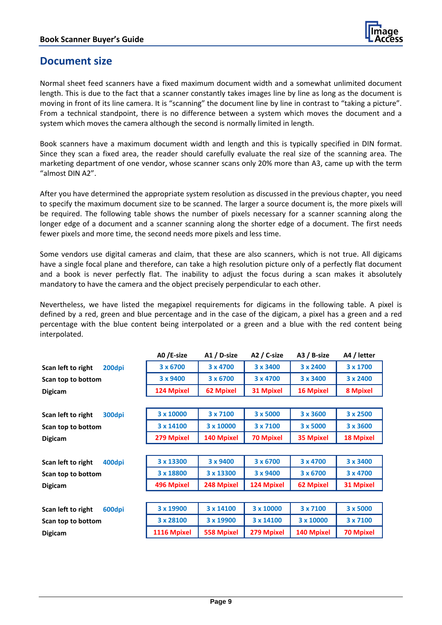

#### **Document size**

Normal sheet feed scanners have a fixed maximum document width and a somewhat unlimited document length. This is due to the fact that a scanner constantly takes images line by line as long as the document is moving in front of its line camera. It is "scanning" the document line by line in contrast to "taking a picture". From a technical standpoint, there is no difference between a system which moves the document and a system which moves the camera although the second is normally limited in length.

Book scanners have a maximum document width and length and this is typically specified in DIN format. Since they scan a fixed area, the reader should carefully evaluate the real size of the scanning area. The marketing department of one vendor, whose scanner scans only 20% more than A3, came up with the term "almost DIN A2".

After you have determined the appropriate system resolution as discussed in the previous chapter, you need to specify the maximum document size to be scanned. The larger a source document is, the more pixels will be required. The following table shows the number of pixels necessary for a scanner scanning along the longer edge of a document and a scanner scanning along the shorter edge of a document. The first needs fewer pixels and more time, the second needs more pixels and less time.

Some vendors use digital cameras and claim, that these are also scanners, which is not true. All digicams have a single focal plane and therefore, can take a high resolution picture only of a perfectly flat document and a book is never perfectly flat. The inability to adjust the focus during a scan makes it absolutely mandatory to have the camera and the object precisely perpendicular to each other.

Nevertheless, we have listed the megapixel requirements for digicams in the following table. A pixel is defined by a red, green and blue percentage and in the case of the digicam, a pixel has a green and a red percentage with the blue content being interpolated or a green and a blue with the red content being interpolated.

|                              | A0 /E-size        | A1 / D-size       | A2 / C-size       | A3 / B-size      | A4 / letter      |
|------------------------------|-------------------|-------------------|-------------------|------------------|------------------|
| 200dpi<br>Scan left to right | 3 x 6700          | 3 x 4700          | 3 x 3400          | 3 x 2400         | 3 x 1700         |
| Scan top to bottom           | 3 x 9400          | 3 x 6700          | 3 x 4700          | 3 x 3400         | 3 x 2400         |
| <b>Digicam</b>               | <b>124 Mpixel</b> | <b>62 Mpixel</b>  | 31 Mpixel         | <b>16 Mpixel</b> | <b>8 Mpixel</b>  |
|                              |                   |                   |                   |                  |                  |
| Scan left to right<br>300dpi | 3 x 10000         | 3 x 7100          | 3 x 5000          | 3 x 3600         | 3 x 2500         |
| Scan top to bottom           | 3 x 14100         | 3 x 10000         | 3 x 7100          | 3 x 5000         | 3 x 3600         |
| <b>Digicam</b>               | 279 Mpixel        | <b>140 Mpixel</b> | <b>70 Mpixel</b>  | <b>35 Mpixel</b> | <b>18 Mpixel</b> |
|                              |                   |                   |                   |                  |                  |
| 400dpi<br>Scan left to right | 3 x 13300         | 3 x 9400          | 3 x 6700          | 3 x 4700         | 3 x 3400         |
| Scan top to bottom           | 3 x 18800         | 3 x 13300         | 3 x 9400          | 3 x 6700         | 3 x 4700         |
| <b>Digicam</b>               | 496 Mpixel        | 248 Mpixel        | <b>124 Mpixel</b> | 62 Mpixel        | <b>31 Mpixel</b> |
|                              |                   |                   |                   |                  |                  |
| 600dpi<br>Scan left to right | 3 x 19900         | 3 x 14100         | 3 x 10000         | 3 x 7100         | 3 x 5000         |
| Scan top to bottom           | 3 x 28100         | 3 x 19900         | 3 x 14100         | 3 x 10000        | 3 x 7100         |
| <b>Digicam</b>               | 1116 Mpixel       | <b>558 Mpixel</b> | 279 Mpixel        | 140 Mpixel       | <b>70 Mpixel</b> |
|                              |                   |                   |                   |                  |                  |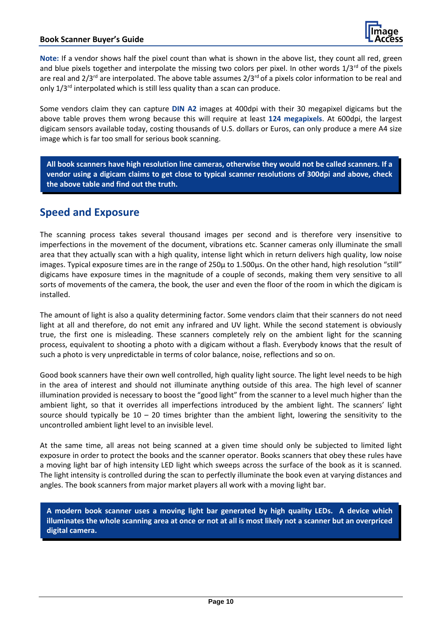**Note:** If a vendor shows half the pixel count than what is shown in the above list, they count all red, green and blue pixels together and interpolate the missing two colors per pixel. In other words  $1/3^{rd}$  of the pixels are real and  $2/3^{rd}$  are interpolated. The above table assumes  $2/3^{rd}$  of a pixels color information to be real and only 1/3rd interpolated which is still less quality than a scan can produce.

Some vendors claim they can capture **DIN A2** images at 400dpi with their 30 megapixel digicams but the above table proves them wrong because this will require at least **124 megapixels**. At 600dpi, the largest digicam sensors available today, costing thousands of U.S. dollars or Euros, can only produce a mere A4 size image which is far too small for serious book scanning.

**All book scanners have high resolution line cameras, otherwise they would not be called scanners. If a vendor using a digicam claims to get close to typical scanner resolutions of 300dpi and above, check the above table and find out the truth.** 

## **Speed and Exposure**

The scanning process takes several thousand images per second and is therefore very insensitive to imperfections in the movement of the document, vibrations etc. Scanner cameras only illuminate the small area that they actually scan with a high quality, intense light which in return delivers high quality, low noise images. Typical exposure times are in the range of 250µ to 1.500µs. On the other hand, high resolution "still" digicams have exposure times in the magnitude of a couple of seconds, making them very sensitive to all sorts of movements of the camera, the book, the user and even the floor of the room in which the digicam is installed.

The amount of light is also a quality determining factor. Some vendors claim that their scanners do not need light at all and therefore, do not emit any infrared and UV light. While the second statement is obviously true, the first one is misleading. These scanners completely rely on the ambient light for the scanning process, equivalent to shooting a photo with a digicam without a flash. Everybody knows that the result of such a photo is very unpredictable in terms of color balance, noise, reflections and so on.

Good book scanners have their own well controlled, high quality light source. The light level needs to be high in the area of interest and should not illuminate anything outside of this area. The high level of scanner illumination provided is necessary to boost the "good light" from the scanner to a level much higher than the ambient light, so that it overrides all imperfections introduced by the ambient light. The scanners' light source should typically be  $10 - 20$  times brighter than the ambient light, lowering the sensitivity to the uncontrolled ambient light level to an invisible level.

At the same time, all areas not being scanned at a given time should only be subjected to limited light exposure in order to protect the books and the scanner operator. Books scanners that obey these rules have a moving light bar of high intensity LED light which sweeps across the surface of the book as it is scanned. The light intensity is controlled during the scan to perfectly illuminate the book even at varying distances and angles. The book scanners from major market players all work with a moving light bar.

**A modern book scanner uses a moving light bar generated by high quality LEDs. A device which illuminates the whole scanning area at once or not at all is most likely not a scanner but an overpriced digital camera.**